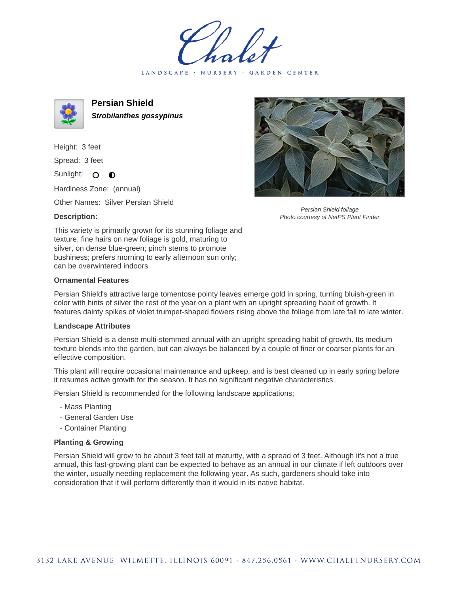LANDSCAPE · NURSERY · GARDEN CENTER



**Persian Shield Strobilanthes gossypinus**

Height: 3 feet Spread: 3 feet

Sunlight: O O

Hardiness Zone: (annual)

Other Names: Silver Persian Shield

## **Description:**



Persian Shield foliage Photo courtesy of NetPS Plant Finder

This variety is primarily grown for its stunning foliage and texture; fine hairs on new foliage is gold, maturing to silver, on dense blue-green; pinch stems to promote bushiness; prefers morning to early afternoon sun only; can be overwintered indoors

## **Ornamental Features**

Persian Shield's attractive large tomentose pointy leaves emerge gold in spring, turning bluish-green in color with hints of silver the rest of the year on a plant with an upright spreading habit of growth. It features dainty spikes of violet trumpet-shaped flowers rising above the foliage from late fall to late winter.

## **Landscape Attributes**

Persian Shield is a dense multi-stemmed annual with an upright spreading habit of growth. Its medium texture blends into the garden, but can always be balanced by a couple of finer or coarser plants for an effective composition.

This plant will require occasional maintenance and upkeep, and is best cleaned up in early spring before it resumes active growth for the season. It has no significant negative characteristics.

Persian Shield is recommended for the following landscape applications;

- Mass Planting
- General Garden Use
- Container Planting

## **Planting & Growing**

Persian Shield will grow to be about 3 feet tall at maturity, with a spread of 3 feet. Although it's not a true annual, this fast-growing plant can be expected to behave as an annual in our climate if left outdoors over the winter, usually needing replacement the following year. As such, gardeners should take into consideration that it will perform differently than it would in its native habitat.